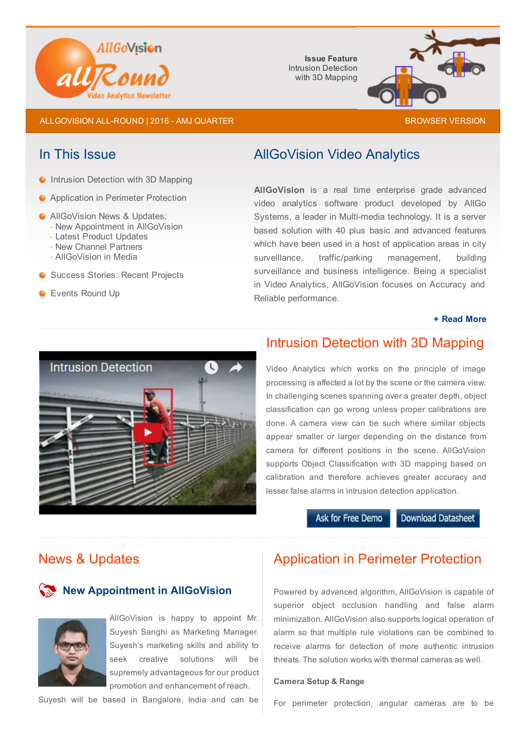

Issue Feature Intrusion Detection with 3D Mapping



ALLGOVISION ALL-ROUND | 2016 - AMJ QUARTER [BROWSER](http://allgovision.com/AllRound-2016-Q-AMJ.html) BROWSER VERSION

**Intrusion Detection with 3D Mapping** 

- **•** Application in Perimeter Protection
- **C** AllGoVision News & Updates:
	- New Appointment in AllGoVision
	- Latest Product Updates - New Channel Partners
	- AllGoVision in Media
- **G** Success Stories: Recent Projects
- **C** Events Round Up

### In This Issue **AllGoVision Video Analytics**

AllGoVision is a real time enterprise grade advanced video analytics software product developed by AllGo Systems, a leader in Multi-media technology. It is a server based solution with 40 plus basic and advanced features which have been used in a host of application areas in city surveillance, traffic/parking management, building surveillance and business intelligence. Being a specialist in Video Analytics, AllGoVision focuses on Accuracy and Reliable performance.

#### + Read [More](http://allgovision.com/video_analytics.php)



# Intrusion Detection with 3D Mapping

Video Analytics which works on the principle of image processing is affected a lot by the scene or the camera view. In challenging scenes spanning over a greater depth, object classification can go wrong unless proper calibrations are done. A camera view can be such where similar objects appear smaller or larger depending on the distance from camera for different positions in the scene. AllGoVision supports Object Classification with 3D mapping based on calibration and therefore achieves greater accuracy and lesser false alarms in intrusion detection application.

Ask for Free Demo

**Download Datasheet** 

#### News & Updates

#### New Appointment in AllGoVision



AllGoVision is happy to appoint Mr. Suyesh Sanghi as Marketing Manager. Suyesh's marketing skills and ability to seek creative solutions will be supremely advantageous for our product promotion and enhancement of reach.

Suyesh will be based in Bangalore, India and can be

## Application in Perimeter Protection

Powered by advanced algorithm, AllGoVision is capable of superior object occlusion handling and false alarm minimization. AllGoVision also supports logical operation of alarm so that multiple rule violations can be combined to receive alarms for detection of more authentic intrusion threats. The solution works with thermal cameras as well.

#### Camera Setup & Range

For perimeter protection, angular cameras are to be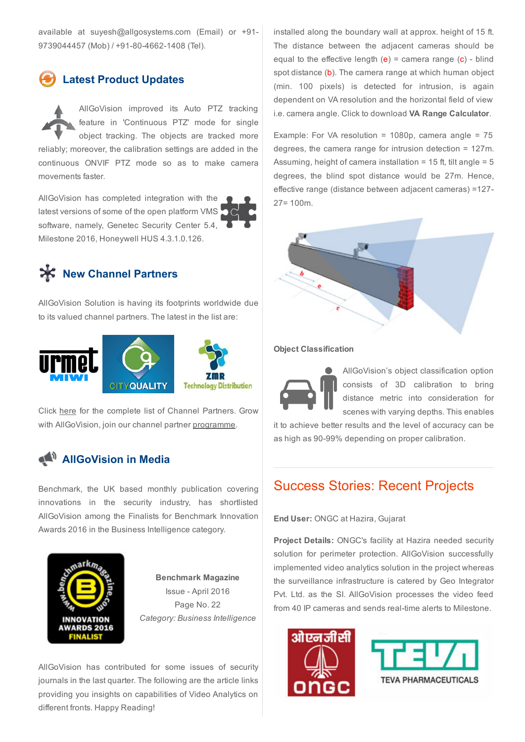available at suyesh@allgosystems.com (Email) or +91 9739044457 (Mob) / +91-80-4662-1408 (Tel).

## Latest Product Updates

AllGoVision improved its Auto PTZ tracking feature in 'Continuous PTZ' mode for single object tracking. The objects are tracked more reliably; moreover, the calibration settings are added in the continuous ONVIF PTZ mode so as to make camera movements faster.

AllGoVision has completed integration with the latest versions of some of the open platform VMS software, namely, Genetec Security Center 5.4, Milestone 2016, Honeywell HUS 4.3.1.0.126.

# **X** New Channel Partners

AllGoVision Solution is having its footprints worldwide due to its valued channel partners. The latest in the list are:





Click [here](http://allgovision.com/ch_partner.php) for the complete list of Channel Partners. Grow with AllGoVision, join our channel partner [programme.](http://allgovision.com/channel-partner-programme.php)

## **AllGoVision in Media**

Benchmark, the UK based monthly publication covering innovations in the security industry, has shortlisted AllGoVision among the Finalists for Benchmark Innovation Awards 2016 in the Business Intelligence category.



[Benchmark](http://benchmarkmagazine.com/benchmark-innovation-awards-2016/) Magazine Issue - April 2016 Page No. 22 *Category: Business Intelligence*

AllGoVision has contributed for some issues of security journals in the last quarter. The following are the article links providing you insights on capabilities of Video Analytics on different fronts. Happy Reading!

installed along the boundary wall at approx. height of 15 ft. The distance between the adjacent cameras should be equal to the effective length  $(e)$  = camera range  $(c)$  - blind spot distance (b). The camera range at which human object (min. 100 pixels) is detected for intrusion, is again dependent on VA resolution and the horizontal field of view i.e. camera angle. Click to download VA Range [Calculator.](http://allgovision.com/Detection-Range-Calculator-R2.0.xlsx)

Example: For VA resolution = 1080p, camera angle =  $75$ degrees, the camera range for intrusion detection = 127m. Assuming, height of camera installation = 15 ft, tilt angle = 5 degrees, the blind spot distance would be 27m. Hence, effective range (distance between adjacent cameras) =127 27= 100m.



#### Object Classification

AllGoVision's object classification option consists of 3D calibration to bring distance metric into consideration for scenes with varying depths. This enables

it to achieve better results and the level of accuracy can be as high as 90-99% depending on proper calibration.

## Success Stories: Recent Projects

End User: ONGC at Hazira, Gujarat

Project Details: ONGC's facility at Hazira needed security solution for perimeter protection. AllGoVision successfully implemented video analytics solution in the project whereas the surveillance infrastructure is catered by Geo Integrator Pvt. Ltd. as the SI. AllGoVision processes the video feed from 40 IP cameras and sends real-time alerts to Milestone.